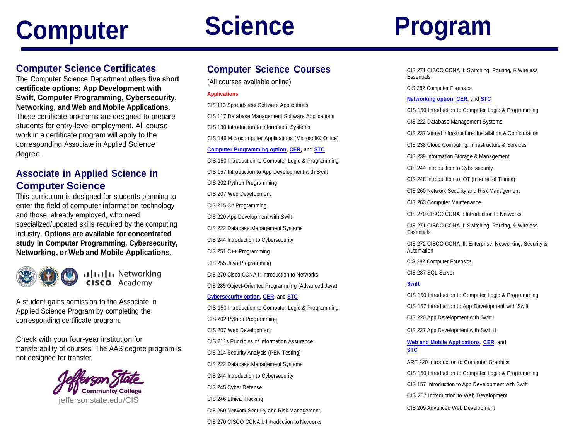# **Computer Science Program**

### **Computer Science Certificates**

The Computer Science Department offers **five short certificate options: App Development with Swift, Computer Programming, Cybersecurity, Networking, and Web and Mobile Applications.** These certificate programs are designed to prepare students for entry-level employment. All course work in a certificate program will apply to the corresponding Associate in Applied Science degree.

### **Associate in Applied Science in Computer Science**

This curriculum is designed for students planning to enter the field of computer information technology and those, already employed, who need specialized/updated skills required by the computing industry. **Options are available for concentrated study in Computer Programming, Cybersecurity, Networking, or Web and Mobile Applications.**



A student gains admission to the Associate in Applied Science Program by completing the corresponding certificate program.

Check with your four-year institution for transferability of courses. The AAS degree program is not designed for transfer.



## **Computer Science Courses**

(All courses available online)

#### **Applications**

CIS 113 Spreadsheet Software Applications CIS 117 Database Management Software Applications CIS 130 Introduction to Information Systems CIS 146 Microcomputer Applications (Microsoft® Office) **[Computer Programming option,](https://www.jeffersonstate.edu/computer-programming-option-aas-c056/) [CER,](https://www.jeffersonstate.edu/computer-programming-option-advanced-certificate-cer-c056/)** and **[STC](https://www.jeffersonstate.edu/computer-programming-option-short-certificate-stc-c056/)** CIS 150 Introduction to Computer Logic & Programming CIS 157 Introduction to App Development with Swift CIS 202 Python Programming CIS 207 Web Development CIS 215 C# Programming CIS 220 App Development with Swift CIS 222 Database Management Systems CIS 244 Introduction to Cybersecurity CIS 251 C++ Programming CIS 255 Java Programming CIS 270 Cisco CCNA I: Introduction to Networks CIS 285 Object-Oriented Programming (Advanced Java) **[Cybersecurity option,](https://www.jeffersonstate.edu/cybersecurity-option-aas-c255/) [CER](https://www.jeffersonstate.edu/cybersecurity-option-advanced-certificate-cer-c255/)**, and **[STC](https://www.jeffersonstate.edu/cybersecurity-option-short-certificate-stc-c255/)** CIS 150 Introduction to Computer Logic & Programming CIS 202 Python Programming CIS 207 Web Development CIS 211s Principles of Information Assurance CIS 214 Security Analysis (PEN Testing) CIS 222 Database Management Systems CIS 244 Introduction to Cybersecurity CIS 245 Cyber Defense CIS 246 Ethical Hacking CIS 260 Network Security and Risk Management CIS 270 CISCO CCNA I: Introduction to Networks

CIS 271 CISCO CCNA II: Switching, Routing, & Wireless **Essentials** 

CIS 282 Computer Forensics

#### **[Networking option,](https://www.jeffersonstate.edu/networking-option-aas-c160/) [CER,](https://www.jeffersonstate.edu/networking-option-advanced-certificate-cer-c160/)** and **[STC](https://www.jeffersonstate.edu/networking-option-short-certificate-stc-c160/)**

CIS 150 Introduction to Computer Logic & Programming

CIS 222 Database Management Systems

CIS 237 Virtual Infrastructure: Installation & Configuration

CIS 238 Cloud Computing: Infrastructure & Services

CIS 239 Information Storage & Management

CIS 244 Introduction to Cybersecurity

CIS 248 Introduction to IOT (Internet of Things)

CIS 260 Network Security and Risk Management

CIS 263 Computer Maintenance

CIS 270 CISCO CCNA I: Introduction to Networks

CIS 271 CISCO CCNA II: Switching, Routing, & Wireless **Essentials** 

CIS 272 CISCO CCNA III: Enterprise, Networking, Security & Automation

CIS 282 Computer Forensics

CIS 287 SQL Server

#### **[Swift](https://www.jeffersonstate.edu/swift-app-development-certificate-short-certificate-stc-c248/)**

CIS 150 Introduction to Computer Logic & Programming CIS 157 Introduction to App Development with Swift

CIS 220 App Development with Swift I

CIS 227 App Development with Swift II

**[Web and Mobile Applications,](https://www.jeffersonstate.edu/web-technologies-option-aas-c213/) [CER,](https://www.jeffersonstate.edu/networking-option-short-certificate-stc-c160/)** and **[STC](https://www.jeffersonstate.edu/web-technologies-option-stc-c213-2/)**

ART 220 Introduction to Computer Graphics CIS 150 Introduction to Computer Logic & Programming CIS 157 Introduction to App Development with Swift CIS 207 Introduction to Web Development CIS 209 Advanced Web Development